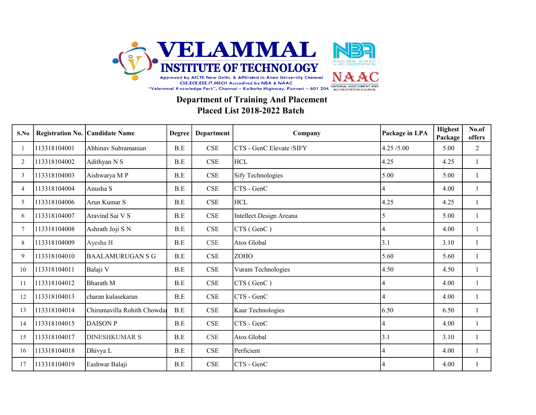

## Department of Training And Placement Placed List 2018-2022 Batch

| S.No           | <b>Registration No.</b> | <b>Candidate Name</b>       | Degree | <b>Department</b>           | Company                  | Package in LPA | <b>Highest</b><br>Package | No.of<br>offers |
|----------------|-------------------------|-----------------------------|--------|-----------------------------|--------------------------|----------------|---------------------------|-----------------|
|                | 113318104001            | Abhinav Subramanian         | B.E    | CSE                         | CTS - GenC Elevate /SIFY | 4.25/5.00      | 5.00                      | 2               |
| 2              | 113318104002            | Adithyan N S                | B.E    | CSE                         | <b>HCL</b>               | 4.25           | 4.25                      | -1              |
| 3              | 113318104003            | Aishwarya MP                | B.E    | CSE                         | <b>Sify Technologies</b> | 5.00           | 5.00                      |                 |
| $\overline{4}$ | 113318104004            | Anusha S                    | B.E    | $\ensuremath{\mathsf{CSE}}$ | CTS - GenC               | 4              | 4.00                      |                 |
| 5              | 113318104006            | Arun Kumar S                | B.E    | CSE                         | $\rm HCL$                | 4.25           | 4.25                      |                 |
| 6              | 113318104007            | Aravind Sai V S             | B.E    | CSE                         | Intellect Design Areana  | 5              | 5.00                      | 1               |
| $\overline{7}$ | 113318104008            | Ashrath Joji S N            | B.E    | $\ensuremath{\mathsf{CSE}}$ | CTS (GenC)               | 4              | 4.00                      | $\mathbf{1}$    |
| 8              | 113318104009            | Ayesha H                    | B.E    | CSE                         | Atos Global              | 3.1            | 3.10                      |                 |
| 9              | 113318104010            | <b>BAALAMURUGAN S G</b>     | B.E    | $\ensuremath{\mathsf{CSE}}$ | ZOHO                     | 5.60           | 5.60                      |                 |
| 10             | 113318104011            | Balaji V                    | B.E    | CSE                         | Vuram Technologies       | 4.50           | 4.50                      |                 |
| 11             | 113318104012            | <b>Bharath</b> M            | B.E    | $\ensuremath{\mathsf{CSE}}$ | CTS (GenC)               | $\overline{4}$ | 4.00                      |                 |
| 12             | 113318104013            | charan kulasekaran          | B.E    | CSE                         | CTS - GenC               | $\overline{4}$ | 4.00                      |                 |
| 13             | 113318104014            | Chirumavilla Rohith Chowdar | B.E    | CSE                         | Kaar Technologies        | 6.50           | 6.50                      | -1              |
| 14             | 113318104015            | <b>DAISON P</b>             | B.E    | CSE                         | CTS - GenC               | 4              | 4.00                      |                 |
| 15             | 113318104017            | <b>DINESHKUMAR S</b>        | B.E    | CSE                         | Atos Global              | 3.1            | 3.10                      |                 |
| 16             | 113318104018            | Dhivya L                    | B.E    | CSE                         | Perficient               | 4              | 4.00                      |                 |
| 17             | 113318104019            | Eashwar Balaji              | B.E    | $\ensuremath{\mathsf{CSE}}$ | CTS - GenC               | $\overline{4}$ | 4.00                      |                 |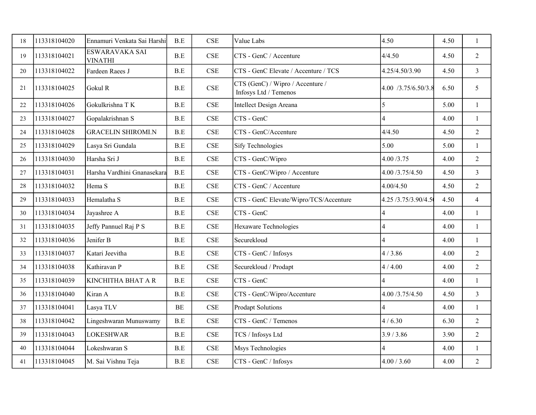| 18 | 113318104020 | Ennamuri Venkata Sai Harshi      | B.E                  | <b>CSE</b>                  | Value Labs                                                | 4.50                    | 4.50 | $\mathbf{1}$   |
|----|--------------|----------------------------------|----------------------|-----------------------------|-----------------------------------------------------------|-------------------------|------|----------------|
| 19 | 113318104021 | ESWARAVAKA SAI<br><b>VINATHI</b> | B.E                  | CSE                         | CTS - GenC / Accenture                                    | 4/4.50                  | 4.50 | 2              |
| 20 | 113318104022 | Fardeen Raees J                  | B.E                  | $\ensuremath{\mathsf{CSE}}$ | CTS - GenC Elevate / Accenture / TCS                      | 4.25/4.50/3.90          | 4.50 | $\mathfrak{Z}$ |
| 21 | 113318104025 | Gokul R                          | $\operatorname{B.E}$ | $\ensuremath{\mathsf{CSE}}$ | CTS (GenC) / Wipro / Accenture /<br>Infosys Ltd / Temenos | 4.00 /3.75/6.50/3.8     | 6.50 | 5              |
| 22 | 113318104026 | Gokulkrishna T K                 | $\operatorname{B.E}$ | <b>CSE</b>                  | Intellect Design Areana                                   | 5                       | 5.00 | $\mathbf{1}$   |
| 23 | 113318104027 | Gopalakrishnan S                 | B.E                  | <b>CSE</b>                  | CTS - GenC                                                | 4                       | 4.00 | $\mathbf{1}$   |
| 24 | 113318104028 | <b>GRACELIN SHIROMI.N</b>        | B.E                  | <b>CSE</b>                  | CTS - GenC/Accenture                                      | 4/4.50                  | 4.50 | $\overline{2}$ |
| 25 | 113318104029 | Lasya Sri Gundala                | $\operatorname{B.E}$ | <b>CSE</b>                  | <b>Sify Technologies</b>                                  | 5.00                    | 5.00 | $\mathbf{1}$   |
| 26 | 113318104030 | Harsha Sri J                     | B.E                  | <b>CSE</b>                  | CTS - GenC/Wipro                                          | 4.00 /3.75              | 4.00 | $\overline{2}$ |
| 27 | 113318104031 | Harsha Vardhini Gnanasekara      | B.E                  | <b>CSE</b>                  | CTS - GenC/Wipro / Accenture                              | 4.00 /3.75/4.50         | 4.50 | $\mathfrak{Z}$ |
| 28 | 113318104032 | Hema S                           | B.E                  | CSE                         | CTS - GenC / Accenture                                    | 4.00/4.50               | 4.50 | 2              |
| 29 | 113318104033 | Hemalatha S                      | $\operatorname{B.E}$ | <b>CSE</b>                  | CTS - GenC Elevate/Wipro/TCS/Accenture                    | 4.25 /3.75/3.90/4.5     | 4.50 | $\overline{4}$ |
| 30 | 113318104034 | Jayashree A                      | $\operatorname{B.E}$ | <b>CSE</b>                  | CTS - GenC                                                | $\overline{\mathbf{4}}$ | 4.00 | $\mathbf{1}$   |
| 31 | 113318104035 | Jeffy Pannuel Raj P S            | B.E                  | CSE                         | Hexaware Technologies                                     | $\overline{4}$          | 4.00 | -1             |
| 32 | 113318104036 | Jenifer B                        | $\operatorname{B.E}$ | CSE                         | Securekloud                                               | $\overline{4}$          | 4.00 | 1              |
| 33 | 113318104037 | Katari Jeevitha                  | $\operatorname{B.E}$ | $\ensuremath{\mathsf{CSE}}$ | CTS - GenC / Infosys                                      | 4/3.86                  | 4.00 | $\overline{2}$ |
| 34 | 113318104038 | Kathiravan P                     | $\operatorname{B.E}$ | $\ensuremath{\mathsf{CSE}}$ | Securekloud / Prodapt                                     | 4/4.00                  | 4.00 | $\overline{2}$ |
| 35 | 113318104039 | KINCHITHA BHAT A R               | $\operatorname{B.E}$ | $\ensuremath{\mathsf{CSE}}$ | CTS - GenC                                                | 4                       | 4.00 | $\mathbf{1}$   |
| 36 | 113318104040 | Kiran A                          | B.E                  | $\ensuremath{\mathsf{CSE}}$ | CTS - GenC/Wipro/Accenture                                | 4.00 /3.75/4.50         | 4.50 | $\mathfrak{Z}$ |
| 37 | 113318104041 | Lasya TLV                        | BE                   | CSE                         | Prodapt Solutions                                         | $\overline{4}$          | 4.00 | $\mathbf{1}$   |
| 38 | 113318104042 | Lingeshwaran Munuswamy           | $\operatorname{B.E}$ | <b>CSE</b>                  | CTS - GenC / Temenos                                      | 4/6.30                  | 6.30 | $\overline{2}$ |
| 39 | 113318104043 | <b>LOKESHWAR</b>                 | $\operatorname{B.E}$ | $\ensuremath{\mathsf{CSE}}$ | TCS / Infosys Ltd                                         | 3.9 / 3.86              | 3.90 | $\overline{2}$ |
| 40 | 113318104044 | Lokeshwaran S                    | $\operatorname{B.E}$ | <b>CSE</b>                  | Msys Technologies                                         | $\overline{4}$          | 4.00 | $\mathbf{1}$   |
| 41 | 113318104045 | M. Sai Vishnu Teja               | $\operatorname{B.E}$ | <b>CSE</b>                  | CTS - GenC / Infosys                                      | 4.00 / 3.60             | 4.00 | $\overline{2}$ |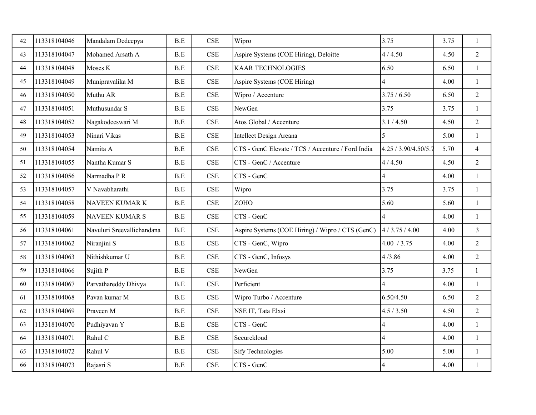| 42 | 113318104046 | Mandalam Dedeepya          | B.E                  | <b>CSE</b>                  | Wipro                                             | 3.75                 | 3.75 | $\mathbf{1}$   |
|----|--------------|----------------------------|----------------------|-----------------------------|---------------------------------------------------|----------------------|------|----------------|
| 43 | 113318104047 | Mohamed Arsath A           | $\operatorname{B.E}$ | <b>CSE</b>                  | Aspire Systems (COE Hiring), Deloitte             | 4/4.50               | 4.50 | $\overline{2}$ |
| 44 | 113318104048 | Moses K                    | $\operatorname{B.E}$ | <b>CSE</b>                  | <b>KAAR TECHNOLOGIES</b>                          | 6.50                 | 6.50 | 1              |
| 45 | 113318104049 | Munipravalika M            | B.E                  | <b>CSE</b>                  | Aspire Systems (COE Hiring)                       | 4                    | 4.00 | $\mathbf{1}$   |
| 46 | 113318104050 | Muthu AR                   | $\operatorname{B.E}$ | <b>CSE</b>                  | Wipro / Accenture                                 | 3.75 / 6.50          | 6.50 | $\overline{2}$ |
| 47 | 113318104051 | Muthusundar S              | B.E                  | <b>CSE</b>                  | NewGen                                            | 3.75                 | 3.75 | $\mathbf{1}$   |
| 48 | 113318104052 | Nagakodeeswari M           | $\operatorname{B.E}$ | <b>CSE</b>                  | Atos Global / Accenture                           | 3.1 / 4.50           | 4.50 | $\overline{2}$ |
| 49 | 113318104053 | Ninari Vikas               | $\operatorname{B.E}$ | <b>CSE</b>                  | Intellect Design Areana                           | 5                    | 5.00 | $\mathbf{1}$   |
| 50 | 113318104054 | Namita A                   | $\operatorname{B.E}$ | <b>CSE</b>                  | CTS - GenC Elevate / TCS / Accenture / Ford India | 4.25 / 3.90/4.50/5.7 | 5.70 | $\overline{4}$ |
| 51 | 113318104055 | Nantha Kumar S             | $\operatorname{B.E}$ | <b>CSE</b>                  | CTS - GenC / Accenture                            | 4/4.50               | 4.50 | $\overline{2}$ |
| 52 | 113318104056 | Narmadha P R               | $\operatorname{B.E}$ | <b>CSE</b>                  | CTS - GenC                                        | $\overline{4}$       | 4.00 | $\mathbf{1}$   |
| 53 | 113318104057 | V Navabharathi             | $\operatorname{B.E}$ | <b>CSE</b>                  | Wipro                                             | 3.75                 | 3.75 | $\mathbf{1}$   |
| 54 | 113318104058 | <b>NAVEEN KUMAR K</b>      | $\operatorname{B.E}$ | <b>CSE</b>                  | ZOHO                                              | 5.60                 | 5.60 | $\mathbf{1}$   |
| 55 | 113318104059 | <b>NAVEEN KUMAR S</b>      | $\operatorname{B.E}$ | <b>CSE</b>                  | CTS - GenC                                        | $\overline{4}$       | 4.00 | $\mathbf{1}$   |
| 56 | 113318104061 | Navuluri Sreevallichandana | $\operatorname{B.E}$ | <b>CSE</b>                  | Aspire Systems (COE Hiring) / Wipro / CTS (GenC)  | 4/3.75/4.00          | 4.00 | $\mathfrak{Z}$ |
| 57 | 113318104062 | Niranjini S                | $\operatorname{B.E}$ | <b>CSE</b>                  | CTS - GenC, Wipro                                 | 4.00 / 3.75          | 4.00 | $\overline{2}$ |
| 58 | 113318104063 | Nithishkumar U             | $\operatorname{B.E}$ | $\ensuremath{\mathsf{CSE}}$ | CTS - GenC, Infosys                               | 4/3.86               | 4.00 | $\overline{2}$ |
| 59 | 113318104066 | Sujith P                   | B.E                  | CSE                         | NewGen                                            | 3.75                 | 3.75 | $\mathbf{1}$   |
| 60 | 113318104067 | Parvathareddy Dhivya       | B.E                  | $\ensuremath{\mathsf{CSE}}$ | Perficient                                        | 4                    | 4.00 | 1              |
| 61 | 113318104068 | Pavan kumar M              | $\operatorname{B.E}$ | <b>CSE</b>                  | Wipro Turbo / Accenture                           | 6.50/4.50            | 6.50 | $\overline{2}$ |
| 62 | 113318104069 | Praveen M                  | $\operatorname{B.E}$ | CSE                         | NSE IT, Tata Elxsi                                | 4.5 / 3.50           | 4.50 | $\overline{2}$ |
| 63 | 113318104070 | Pudhiyavan Y               | $\operatorname{B.E}$ | $\ensuremath{\mathsf{CSE}}$ | CTS - GenC                                        | 4                    | 4.00 | $\mathbf{1}$   |
| 64 | 113318104071 | Rahul C                    | $\operatorname{B.E}$ | CSE                         | Securekloud                                       | 4                    | 4.00 | $\mathbf{1}$   |
| 65 | 113318104072 | Rahul V                    | B.E                  | <b>CSE</b>                  | <b>Sify Technologies</b>                          | 5.00                 | 5.00 | $\mathbf{1}$   |
| 66 | 113318104073 | Rajasri S                  | $\operatorname{B.E}$ | <b>CSE</b>                  | CTS - GenC                                        | 4                    | 4.00 | $\mathbf{1}$   |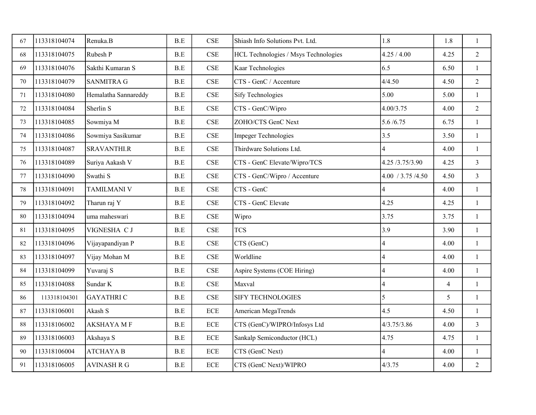| 67 | 113318104074 | Renuka.B             | B.E | <b>CSE</b>                  | Shiash Info Solutions Pvt. Ltd.      | 1.8                      | 1.8            | $\mathbf{1}$   |
|----|--------------|----------------------|-----|-----------------------------|--------------------------------------|--------------------------|----------------|----------------|
| 68 | 113318104075 | Rubesh P             | B.E | <b>CSE</b>                  | HCL Technologies / Msys Technologies | 4.25 / 4.00              | 4.25           | $\overline{2}$ |
| 69 | 113318104076 | Sakthi Kumaran S     | B.E | <b>CSE</b>                  | Kaar Technologies                    | 6.5                      | 6.50           | $\mathbf{1}$   |
| 70 | 113318104079 | <b>SANMITRA G</b>    | B.E | <b>CSE</b>                  | CTS - GenC / Accenture               | 4/4.50                   | 4.50           | $\overline{2}$ |
| 71 | 113318104080 | Hemalatha Sannareddy | B.E | <b>CSE</b>                  | <b>Sify Technologies</b>             | 5.00                     | 5.00           | 1              |
| 72 | 113318104084 | Sherlin <sub>S</sub> | B.E | <b>CSE</b>                  | CTS - GenC/Wipro                     | 4.00/3.75                | 4.00           | $\overline{2}$ |
| 73 | 113318104085 | Sowmiya M            | B.E | <b>CSE</b>                  | ZOHO/CTS GenC Next                   | 5.6/6.75                 | 6.75           | $\mathbf{1}$   |
| 74 | 113318104086 | Sowmiya Sasikumar    | B.E | <b>CSE</b>                  | <b>Impeger Technologies</b>          | 3.5                      | 3.50           | $\mathbf{1}$   |
| 75 | 113318104087 | <b>SRAVANTHI.R</b>   | B.E | <b>CSE</b>                  | Thirdware Solutions Ltd.             |                          | 4.00           | $\mathbf{1}$   |
| 76 | 113318104089 | Suriya Aakash V      | B.E | <b>CSE</b>                  | CTS - GenC Elevate/Wipro/TCS         | 4.25 /3.75/3.90          | 4.25           | $\overline{3}$ |
| 77 | 113318104090 | Swathi S             | B.E | <b>CSE</b>                  | CTS - GenC/Wipro / Accenture         | 4.00 / 3.75 / 4.50       | 4.50           | $\overline{3}$ |
| 78 | 113318104091 | <b>TAMILMANI V</b>   | B.E | CSE                         | CTS - GenC                           | $\overline{4}$           | 4.00           | $\mathbf{1}$   |
| 79 | 113318104092 | Tharun raj Y         | B.E | <b>CSE</b>                  | CTS - GenC Elevate                   | 4.25                     | 4.25           | $\mathbf{1}$   |
| 80 | 113318104094 | uma maheswari        | B.E | <b>CSE</b>                  | Wipro                                | 3.75                     | 3.75           | $\mathbf{1}$   |
| 81 | 113318104095 | VIGNESHA C J         | B.E | <b>CSE</b>                  | <b>TCS</b>                           | 3.9                      | 3.90           | $\mathbf{1}$   |
| 82 | 113318104096 | Vijayapandiyan P     | B.E | $\ensuremath{\mathsf{CSE}}$ | CTS (GenC)                           | $\overline{\mathcal{A}}$ | 4.00           | $\mathbf{1}$   |
| 83 | 113318104097 | Vijay Mohan M        | B.E | $\ensuremath{\mathsf{CSE}}$ | Worldline                            | $\overline{\mathcal{A}}$ | 4.00           | $\mathbf{1}$   |
| 84 | 113318104099 | Yuvaraj S            | B.E | CSE                         | Aspire Systems (COE Hiring)          | $\overline{\mathcal{A}}$ | 4.00           | $\mathbf{1}$   |
| 85 | 113318104088 | Sundar K             | B.E | CSE                         | Maxval                               | $\overline{\mathcal{L}}$ | $\overline{4}$ | 1              |
| 86 | 113318104301 | <b>GAYATHRIC</b>     | B.E | $\ensuremath{\mathsf{CSE}}$ | <b>SIFY TECHNOLOGIES</b>             | 5                        | 5              | $\mathbf{1}$   |
| 87 | 113318106001 | Akash S              | B.E | $\rm ECE$                   | American MegaTrends                  | 4.5                      | 4.50           | $\mathbf{1}$   |
| 88 | 113318106002 | <b>AKSHAYA MF</b>    | B.E | $\rm ECE$                   | CTS (GenC)/WIPRO/Infosys Ltd         | 4/3.75/3.86              | 4.00           | $\overline{3}$ |
| 89 | 113318106003 | Akshaya S            | B.E | <b>ECE</b>                  | Sankalp Semiconductor (HCL)          | 4.75                     | 4.75           | $\mathbf{1}$   |
| 90 | 113318106004 | <b>ATCHAYA B</b>     | B.E | $\ensuremath{\text{ECE}}$   | CTS (GenC Next)                      | $\overline{4}$           | 4.00           | $\mathbf{1}$   |
| 91 | 113318106005 | <b>AVINASH R G</b>   | B.E | <b>ECE</b>                  | CTS (GenC Next)/WIPRO                | 4/3.75                   | 4.00           | $\overline{2}$ |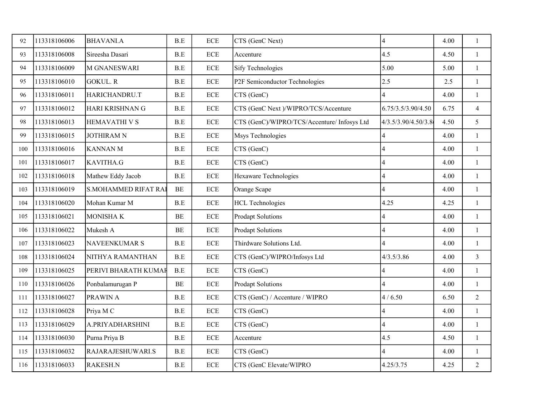| 92  | 113318106006 | <b>BHAVANI.A</b>            | B.E       | <b>ECE</b>                | CTS (GenC Next)                             | 4                       | 4.00 | $\mathbf{1}$   |
|-----|--------------|-----------------------------|-----------|---------------------------|---------------------------------------------|-------------------------|------|----------------|
| 93  | 113318106008 | Sireesha Dasari             | B.E       | <b>ECE</b>                | Accenture                                   | 4.5                     | 4.50 | 1              |
| 94  | 113318106009 | <b>M GNANESWARI</b>         | B.E       | <b>ECE</b>                | <b>Sify Technologies</b>                    | 5.00                    | 5.00 | 1              |
| 95  | 113318106010 | <b>GOKUL.R</b>              | B.E       | <b>ECE</b>                | P2F Semiconductor Technologies              | 2.5                     | 2.5  | $\mathbf{1}$   |
| 96  | 113318106011 | HARICHANDRU.T               | B.E       | <b>ECE</b>                | CTS (GenC)                                  | 4                       | 4.00 | 1              |
| 97  | 113318106012 | HARI KRISHNAN G             | B.E       | <b>ECE</b>                | CTS (GenC Next )/WIPRO/TCS/Accenture        | 6.75/3.5/3.90/4.50      | 6.75 | $\overline{4}$ |
| 98  | 113318106013 | <b>HEMAVATHI V S</b>        | B.E       | <b>ECE</b>                | CTS (GenC)/WIPRO/TCS/Accenture/ Infosys Ltd | 4/3.5/3.90/4.50/3.8     | 4.50 | 5              |
| 99  | 113318106015 | <b>JOTHIRAM N</b>           | B.E       | <b>ECE</b>                | Msys Technologies                           | 4                       | 4.00 | 1              |
| 100 | 113318106016 | <b>KANNAN M</b>             | B.E       | <b>ECE</b>                | CTS (GenC)                                  | 4                       | 4.00 | 1              |
| 101 | 113318106017 | <b>KAVITHA.G</b>            | B.E       | <b>ECE</b>                | CTS (GenC)                                  | $\overline{\mathbf{4}}$ | 4.00 | $\mathbf{1}$   |
| 102 | 113318106018 | Mathew Eddy Jacob           | B.E       | <b>ECE</b>                | Hexaware Technologies                       | $\overline{\mathbf{4}}$ | 4.00 | $\mathbf{1}$   |
| 103 | 113318106019 | <b>S.MOHAMMED RIFAT RAI</b> | <b>BE</b> | <b>ECE</b>                | Orange Scape                                | 4                       | 4.00 | $\mathbf{1}$   |
| 104 | 113318106020 | Mohan Kumar M               | B.E       | <b>ECE</b>                | <b>HCL Technologies</b>                     | 4.25                    | 4.25 | $\mathbf{1}$   |
| 105 | 113318106021 | <b>MONISHAK</b>             | BE        | <b>ECE</b>                | <b>Prodapt Solutions</b>                    | $\overline{\mathbf{4}}$ | 4.00 | $\mathbf{1}$   |
| 106 | 113318106022 | Mukesh A                    | BE        | <b>ECE</b>                | <b>Prodapt Solutions</b>                    | $\overline{4}$          | 4.00 | $\mathbf{1}$   |
| 107 | 113318106023 | <b>NAVEENKUMAR S</b>        | B.E       | <b>ECE</b>                | Thirdware Solutions Ltd.                    | $\overline{4}$          | 4.00 | $\mathbf{1}$   |
| 108 | 113318106024 | NITHYA RAMANTHAN            | B.E       | $\ensuremath{\text{ECE}}$ | CTS (GenC)/WIPRO/Infosys Ltd                | 4/3.5/3.86              | 4.00 | $\mathfrak{Z}$ |
| 109 | 113318106025 | PERIVI BHARATH KUMAF        | B.E       | <b>ECE</b>                | CTS (GenC)                                  | 4                       | 4.00 | $\mathbf{1}$   |
| 110 | 113318106026 | Ponbalamurugan P            | $\rm BE$  | <b>ECE</b>                | <b>Prodapt Solutions</b>                    | 4                       | 4.00 | $\mathbf{1}$   |
| 111 | 113318106027 | <b>PRAWIN A</b>             | B.E       | $\ensuremath{\text{ECE}}$ | CTS (GenC) / Accenture / WIPRO              | 4/6.50                  | 6.50 | $\overline{2}$ |
| 112 | 113318106028 | Priya M C                   | B.E       | $\rm ECE$                 | CTS (GenC)                                  | 4                       | 4.00 | $\mathbf{1}$   |
| 113 | 113318106029 | A.PRIYADHARSHINI            | B.E       | <b>ECE</b>                | CTS (GenC)                                  | 4                       | 4.00 | $\mathbf{1}$   |
| 114 | 113318106030 | Purna Priya B               | B.E       | <b>ECE</b>                | Accenture                                   | 4.5                     | 4.50 | $\mathbf{1}$   |
| 115 | 113318106032 | RAJARAJESHUWARI.S           | B.E       | $\rm ECE$                 | CTS (GenC)                                  | $\overline{4}$          | 4.00 | $\mathbf{1}$   |
| 116 | 113318106033 | <b>RAKESH.N</b>             | B.E       | <b>ECE</b>                | CTS (GenC Elevate/WIPRO                     | 4.25/3.75               | 4.25 | $\overline{2}$ |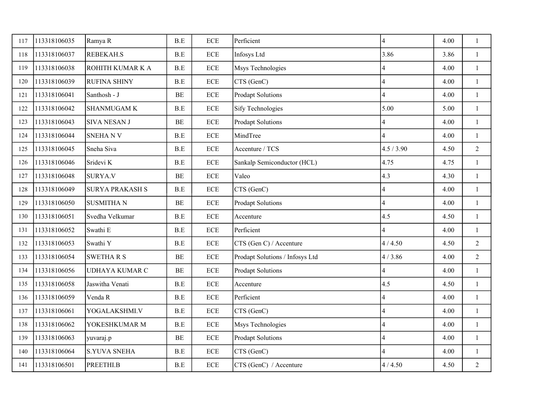| 117 | 113318106035 | Ramya R                 | B.E                  | <b>ECE</b>                | Perficient                      | 4                       | 4.00 | $\mathbf{1}$   |
|-----|--------------|-------------------------|----------------------|---------------------------|---------------------------------|-------------------------|------|----------------|
| 118 | 113318106037 | <b>REBEKAH.S</b>        | B.E                  | <b>ECE</b>                | Infosys Ltd                     | 3.86                    | 3.86 | $\mathbf{1}$   |
| 119 | 113318106038 | <b>ROHITH KUMAR K A</b> | B.E                  | <b>ECE</b>                | Msys Technologies               | 4                       | 4.00 | $\mathbf{1}$   |
| 120 | 113318106039 | <b>RUFINA SHINY</b>     | B.E                  | <b>ECE</b>                | CTS (GenC)                      | $\overline{4}$          | 4.00 | $\mathbf{1}$   |
| 121 | 113318106041 | Santhosh - J            | $\rm BE$             | <b>ECE</b>                | <b>Prodapt Solutions</b>        | 4                       | 4.00 | $\mathbf{1}$   |
| 122 | 113318106042 | <b>SHANMUGAM K</b>      | B.E                  | <b>ECE</b>                | <b>Sify Technologies</b>        | 5.00                    | 5.00 | $\mathbf{1}$   |
| 123 | 113318106043 | <b>SIVA NESAN J</b>     | $\rm BE$             | ECE                       | <b>Prodapt Solutions</b>        | 4                       | 4.00 | $\mathbf{1}$   |
| 124 | 113318106044 | <b>SNEHANV</b>          | B.E                  | <b>ECE</b>                | MindTree                        | 4                       | 4.00 | $\mathbf{1}$   |
| 125 | 113318106045 | Sneha Siva              | B.E                  | <b>ECE</b>                | Accenture / TCS                 | 4.5 / 3.90              | 4.50 | $\overline{2}$ |
| 126 | 113318106046 | Sridevi K               | B.E                  | <b>ECE</b>                | Sankalp Semiconductor (HCL)     | 4.75                    | 4.75 | $\mathbf{1}$   |
| 127 | 113318106048 | <b>SURYA.V</b>          | $\rm BE$             | <b>ECE</b>                | Valeo                           | 4.3                     | 4.30 | $\mathbf{1}$   |
| 128 | 113318106049 | <b>SURYA PRAKASH S</b>  | B.E                  | <b>ECE</b>                | CTS (GenC)                      | $\overline{4}$          | 4.00 | $\mathbf{1}$   |
| 129 | 113318106050 | <b>SUSMITHAN</b>        | $\rm BE$             | <b>ECE</b>                | <b>Prodapt Solutions</b>        | $\overline{\mathbf{4}}$ | 4.00 | $\mathbf{1}$   |
| 130 | 113318106051 | Svedha Velkumar         | B.E                  | <b>ECE</b>                | Accenture                       | 4.5                     | 4.50 | $\mathbf{1}$   |
| 131 | 113318106052 | Swathi E                | B.E                  | <b>ECE</b>                | Perficient                      | 4                       | 4.00 | $\mathbf{1}$   |
| 132 | 113318106053 | Swathi Y                | B.E                  | <b>ECE</b>                | CTS (Gen C) / Accenture         | 4/4.50                  | 4.50 | $\overline{2}$ |
| 133 | 113318106054 | <b>SWETHARS</b>         | BE                   | <b>ECE</b>                | Prodapt Solutions / Infosys Ltd | 4/3.86                  | 4.00 | $\overline{2}$ |
| 134 | 113318106056 | <b>UDHAYA KUMAR C</b>   | BE                   | $\ensuremath{\text{ECE}}$ | <b>Prodapt Solutions</b>        | 4                       | 4.00 | $\mathbf{1}$   |
| 135 | 113318106058 | Jaswitha Venati         | $\operatorname{B.E}$ | $\rm ECE$                 | Accenture                       | 4.5                     | 4.50 | $\mathbf{1}$   |
| 136 | 113318106059 | Venda R                 | B.E                  | $\ensuremath{\text{ECE}}$ | Perficient                      | 4                       | 4.00 | $\mathbf{1}$   |
| 137 | 113318106061 | YOGALAKSHMI.V           | B.E                  | $\ensuremath{\text{ECE}}$ | CTS (GenC)                      | 4                       | 4.00 | $\mathbf{1}$   |
| 138 | 113318106062 | YOKESHKUMAR M           | B.E                  | $\rm ECE$                 | Msys Technologies               | 4                       | 4.00 | $\mathbf{1}$   |
| 139 | 113318106063 | yuvaraj.p               | BE                   | <b>ECE</b>                | <b>Prodapt Solutions</b>        | 4                       | 4.00 | $\mathbf{1}$   |
| 140 | 113318106064 | <b>S.YUVA SNEHA</b>     | B.E                  | $\ensuremath{\text{ECE}}$ | CTS (GenC)                      | 4                       | 4.00 | $\mathbf{1}$   |
| 141 | 113318106501 | PREETHI.B               | B.E                  | <b>ECE</b>                | CTS (GenC) / Accenture          | 4/4.50                  | 4.50 | $\overline{2}$ |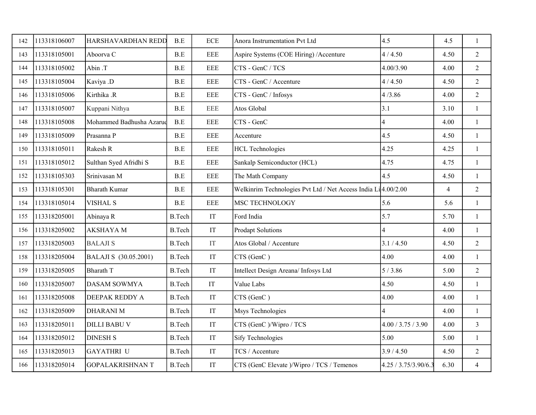| 142 | 113318106007 | HARSHAVARDHAN REDD       | B.E           | <b>ECE</b>                 | Anora Instrumentation Pvt Ltd                                 | 4.5                  | 4.5            | $\mathbf{1}$   |
|-----|--------------|--------------------------|---------------|----------------------------|---------------------------------------------------------------|----------------------|----------------|----------------|
| 143 | 113318105001 | Aboorva C                | B.E           | <b>EEE</b>                 | Aspire Systems (COE Hiring) / Accenture                       | 4/4.50               | 4.50           | $\overline{2}$ |
| 144 | 113318105002 | Abin .T                  | B.E           | <b>EEE</b>                 | CTS - GenC / TCS                                              | 4.00/3.90            | 4.00           | 2              |
| 145 | 113318105004 | Kaviya .D                | B.E           | <b>EEE</b>                 | CTS - GenC / Accenture                                        | 4/4.50               | 4.50           | $\overline{2}$ |
| 146 | 113318105006 | Kirthika .R              | B.E           | <b>EEE</b>                 | CTS - GenC / Infosys                                          | 4/3.86               | 4.00           | $\overline{2}$ |
| 147 | 113318105007 | Kuppani Nithya           | B.E           | <b>EEE</b>                 | Atos Global                                                   | 3.1                  | 3.10           | $\mathbf{1}$   |
| 148 | 113318105008 | Mohammed Badhusha Azarud | B.E           | <b>EEE</b>                 | CTS - GenC                                                    | 4                    | 4.00           | $\mathbf{1}$   |
| 149 | 113318105009 | Prasanna P               | B.E           | <b>EEE</b>                 | Accenture                                                     | 4.5                  | 4.50           | 1              |
| 150 | 113318105011 | Rakesh R                 | B.E           | <b>EEE</b>                 | <b>HCL Technologies</b>                                       | 4.25                 | 4.25           | $\mathbf{1}$   |
| 151 | 113318105012 | Sulthan Syed Afridhi S   | B.E           | <b>EEE</b>                 | Sankalp Semiconductor (HCL)                                   | 4.75                 | 4.75           | $\mathbf{1}$   |
| 152 | 113318105303 | Srinivasan M             | B.E           | <b>EEE</b>                 | The Math Company                                              | 4.5                  | 4.50           | $\mathbf{1}$   |
| 153 | 113318105301 | <b>Bharath Kumar</b>     | B.E           | <b>EEE</b>                 | Welkinrim Technologies Pvt Ltd / Net Access India Li4.00/2.00 |                      | $\overline{4}$ | $\overline{2}$ |
| 154 | 113318105014 | <b>VISHAL S</b>          | B.E           | <b>EEE</b>                 | MSC TECHNOLOGY                                                | 5.6                  | 5.6            | $\mathbf{1}$   |
| 155 | 113318205001 | Abinaya R                | <b>B.Tech</b> | IT                         | Ford India                                                    | 5.7                  | 5.70           | $\mathbf{1}$   |
| 156 | 113318205002 | <b>AKSHAYA M</b>         | <b>B.Tech</b> | IT                         | <b>Prodapt Solutions</b>                                      | 4                    | 4.00           | $\mathbf{1}$   |
| 157 | 113318205003 | <b>BALAJIS</b>           | <b>B.Tech</b> | $\ensuremath{\mathsf{IT}}$ | Atos Global / Accenture                                       | 3.1 / 4.50           | 4.50           | $\overline{2}$ |
| 158 | 113318205004 | BALAJI S (30.05.2001)    | <b>B.Tech</b> | $\ensuremath{\mathsf{IT}}$ | CTS (GenC)                                                    | 4.00                 | 4.00           | 1              |
| 159 | 113318205005 | <b>Bharath T</b>         | <b>B.Tech</b> | IT                         | Intellect Design Areana/ Infosys Ltd                          | 5/3.86               | 5.00           | $\overline{2}$ |
| 160 | 113318205007 | DASAM SOWMYA             | <b>B.Tech</b> | IT                         | Value Labs                                                    | 4.50                 | 4.50           | $\mathbf{1}$   |
| 161 | 113318205008 | DEEPAK REDDY A           | <b>B.Tech</b> | IT                         | CTS (GenC)                                                    | 4.00                 | 4.00           | $\mathbf{1}$   |
| 162 | 113318205009 | <b>DHARANIM</b>          | <b>B.Tech</b> | IT                         | Msys Technologies                                             | $\overline{4}$       | 4.00           | $\mathbf{1}$   |
| 163 | 113318205011 | <b>DILLI BABU V</b>      | <b>B.Tech</b> | IT                         | CTS (GenC)/Wipro / TCS                                        | 4.00 / 3.75 / 3.90   | 4.00           | $\mathfrak{Z}$ |
| 164 | 113318205012 | <b>DINESH S</b>          | <b>B.Tech</b> | IT                         | <b>Sify Technologies</b>                                      | 5.00                 | 5.00           | $\mathbf{1}$   |
| 165 | 113318205013 | <b>GAYATHRI U</b>        | <b>B.Tech</b> | IT                         | TCS / Accenture                                               | 3.9 / 4.50           | 4.50           | $\overline{2}$ |
| 166 | 113318205014 | <b>GOPALAKRISHNAN T</b>  | <b>B.Tech</b> | IT                         | CTS (GenC Elevate )/Wipro / TCS / Temenos                     | 4.25 / 3.75/3.90/6.3 | 6.30           | $\overline{4}$ |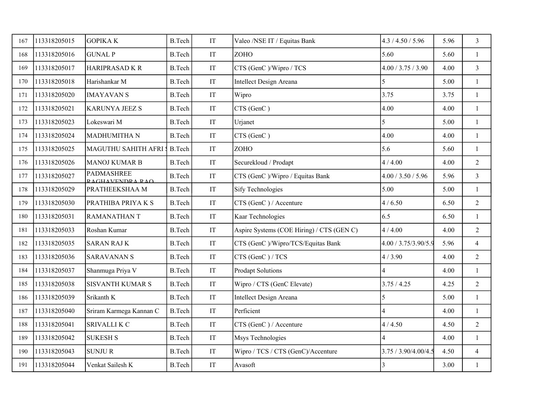| 167 | 113318205015 | <b>GOPIKAK</b>                       | <b>B.Tech</b> | IT                         | Valeo /NSE IT / Equitas Bank              | 4.3 / 4.50 / 5.96    | 5.96 | $\mathfrak{Z}$ |
|-----|--------------|--------------------------------------|---------------|----------------------------|-------------------------------------------|----------------------|------|----------------|
| 168 | 113318205016 | <b>GUNAL P</b>                       | <b>B.Tech</b> | $\ensuremath{\mathsf{IT}}$ | ZOHO                                      | 5.60                 | 5.60 | -1             |
| 169 | 113318205017 | <b>HARIPRASAD K R</b>                | <b>B.Tech</b> | $\ensuremath{\mathsf{IT}}$ | CTS (GenC)/Wipro / TCS                    | 4.00 / 3.75 / 3.90   | 4.00 | $\mathfrak{Z}$ |
| 170 | 113318205018 | Harishankar M                        | <b>B.Tech</b> | $\mathop{\mathrm{IT}}$     | Intellect Design Areana                   | 5                    | 5.00 | $\mathbf{1}$   |
| 171 | 113318205020 | <b>IMAYAVAN S</b>                    | <b>B.Tech</b> | IT                         | Wipro                                     | 3.75                 | 3.75 | 1              |
| 172 | 113318205021 | <b>KARUNYA JEEZ S</b>                | <b>B.Tech</b> | $\ensuremath{\mathsf{IT}}$ | CTS (GenC)                                | 4.00                 | 4.00 | 1              |
| 173 | 113318205023 | Lokeswari M                          | <b>B.Tech</b> | $\ensuremath{\mathsf{IT}}$ | Urjanet                                   | 5                    | 5.00 | $\mathbf{1}$   |
| 174 | 113318205024 | MADHUMITHA N                         | <b>B.Tech</b> | $\operatorname{IT}$        | CTS (GenC)                                | 4.00                 | 4.00 | 1              |
| 175 | 113318205025 | MAGUTHU SAHITH AFRI :                | <b>B.Tech</b> | $\ensuremath{\mathsf{IT}}$ | ZOHO                                      | 5.6                  | 5.60 | 1              |
| 176 | 113318205026 | <b>MANOJ KUMAR B</b>                 | <b>B.Tech</b> | $\ensuremath{\mathsf{IT}}$ | Securekloud / Prodapt                     | 4/4.00               | 4.00 | $\overline{2}$ |
| 177 | 113318205027 | <b>PADMASHREE</b><br>RAGHAVENDRA RAO | <b>B.Tech</b> | $\ensuremath{\mathsf{IT}}$ | CTS (GenC)/Wipro / Equitas Bank           | 4.00 / 3.50 / 5.96   | 5.96 | $\mathfrak{Z}$ |
| 178 | 113318205029 | PRATHEEKSHAA M                       | <b>B.Tech</b> | IT                         | <b>Sify Technologies</b>                  | 5.00                 | 5.00 | 1              |
| 179 | 113318205030 | PRATHIBA PRIYA K S                   | <b>B.Tech</b> | $\ensuremath{\mathsf{IT}}$ | CTS (GenC) / Accenture                    | 4/6.50               | 6.50 | $\overline{2}$ |
| 180 | 113318205031 | <b>RAMANATHANT</b>                   | <b>B.Tech</b> | $\ensuremath{\mathsf{IT}}$ | Kaar Technologies                         | 6.5                  | 6.50 | $\mathbf{1}$   |
| 181 | 113318205033 | Roshan Kumar                         | <b>B.Tech</b> | $\ensuremath{\mathsf{IT}}$ | Aspire Systems (COE Hiring) / CTS (GEN C) | 4/4.00               | 4.00 | $\overline{2}$ |
| 182 | 113318205035 | <b>SARAN RAJ K</b>                   | <b>B.Tech</b> | IT                         | CTS (GenC)/Wipro/TCS/Equitas Bank         | 4.00 / 3.75/3.90/5.9 | 5.96 | $\overline{4}$ |
| 183 | 113318205036 | <b>SARAVANAN S</b>                   | <b>B.Tech</b> | $\ensuremath{\mathsf{IT}}$ | CTS (GenC) / TCS                          | 4/3.90               | 4.00 | $\overline{2}$ |
| 184 | 113318205037 | Shanmuga Priya V                     | <b>B.Tech</b> | $\ensuremath{\mathsf{IT}}$ | <b>Prodapt Solutions</b>                  | 4                    | 4.00 | 1              |
| 185 | 113318205038 | <b>SISVANTH KUMAR S</b>              | <b>B.Tech</b> | IT                         | Wipro / CTS (GenC Elevate)                | 3.75 / 4.25          | 4.25 | 2              |
| 186 | 113318205039 | Srikanth K                           | <b>B.Tech</b> | $\ensuremath{\text{IT}}$   | Intellect Design Areana                   | 5                    | 5.00 | $\mathbf{1}$   |
| 187 | 113318205040 | Sriram Karmega Kannan C              | <b>B.Tech</b> | IT                         | Perficient                                | 4                    | 4.00 | 1              |
| 188 | 113318205041 | <b>SRIVALLIK C</b>                   | <b>B.Tech</b> | IT                         | CTS (GenC) / Accenture                    | 4/4.50               | 4.50 | $\overline{2}$ |
| 189 | 113318205042 | <b>SUKESH S</b>                      | <b>B.Tech</b> | $\ensuremath{\mathsf{IT}}$ | Msys Technologies                         |                      | 4.00 | $\mathbf{1}$   |
| 190 | 113318205043 | <b>SUNJUR</b>                        | <b>B.Tech</b> | IT                         | Wipro / TCS / CTS (GenC)/Accenture        | 3.75 / 3.90/4.00/4.5 | 4.50 | $\overline{4}$ |
| 191 | 113318205044 | Venkat Sailesh K                     | <b>B.Tech</b> | IT                         | Avasoft                                   | 3                    | 3.00 | 1              |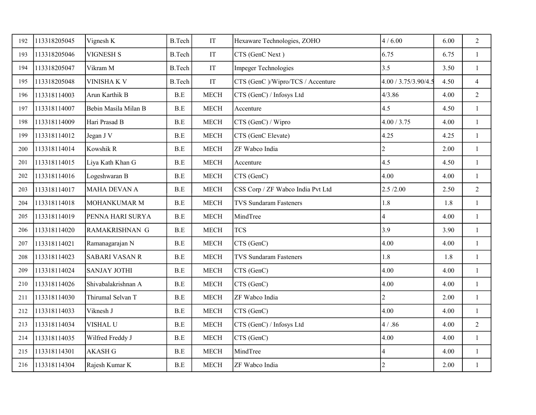| 192 | 113318205045 | Vignesh K             | <b>B.Tech</b>        | $\ensuremath{\mathsf{IT}}$ | Hexaware Technologies, ZOHO       | 4/6.00                  | 6.00 | $\overline{2}$ |
|-----|--------------|-----------------------|----------------------|----------------------------|-----------------------------------|-------------------------|------|----------------|
| 193 | 113318205046 | <b>VIGNESH S</b>      | <b>B.Tech</b>        | $\ensuremath{\mathsf{IT}}$ | CTS (GenC Next)                   | 6.75                    | 6.75 | $\mathbf{1}$   |
| 194 | 113318205047 | Vikram M              | <b>B.Tech</b>        | $\ensuremath{\mathsf{IT}}$ | <b>Impeger Technologies</b>       | 3.5                     | 3.50 | $\mathbf{1}$   |
| 195 | 113318205048 | <b>VINISHA K V</b>    | <b>B.Tech</b>        | $\ensuremath{\mathsf{IT}}$ | CTS (GenC)/Wipro/TCS / Accenture  | 4.00 / 3.75/3.90/4.5    | 4.50 | $\overline{4}$ |
| 196 | 113318114003 | Arun Karthik B        | B.E                  | <b>MECH</b>                | CTS (GenC) / Infosys Ltd          | 4/3.86                  | 4.00 | $\overline{2}$ |
| 197 | 113318114007 | Bebin Masila Milan B  | B.E                  | <b>MECH</b>                | Accenture                         | 4.5                     | 4.50 | $\mathbf{1}$   |
| 198 | 113318114009 | Hari Prasad B         | B.E                  | <b>MECH</b>                | CTS (GenC) / Wipro                | 4.00 / 3.75             | 4.00 | $\mathbf{1}$   |
| 199 | 113318114012 | Jegan J V             | $\operatorname{B.E}$ | <b>MECH</b>                | CTS (GenC Elevate)                | 4.25                    | 4.25 | $\mathbf{1}$   |
| 200 | 113318114014 | Kowshik R             | B.E                  | <b>MECH</b>                | ZF Wabco India                    | $\overline{2}$          | 2.00 | $\mathbf{1}$   |
| 201 | 113318114015 | Liya Kath Khan G      | B.E                  | <b>MECH</b>                | Accenture                         | 4.5                     | 4.50 | $\mathbf{1}$   |
| 202 | 113318114016 | Logeshwaran B         | B.E                  | <b>MECH</b>                | CTS (GenC)                        | 4.00                    | 4.00 | $\mathbf{1}$   |
| 203 | 113318114017 | <b>MAHA DEVAN A</b>   | B.E                  | <b>MECH</b>                | CSS Corp / ZF Wabco India Pvt Ltd | 2.5/2.00                | 2.50 | $\overline{2}$ |
| 204 | 113318114018 | <b>MOHANKUMAR M</b>   | B.E                  | <b>MECH</b>                | <b>TVS Sundaram Fasteners</b>     | 1.8                     | 1.8  | $\mathbf{1}$   |
| 205 | 113318114019 | PENNA HARI SURYA      | B.E                  | <b>MECH</b>                | MindTree                          | $\overline{4}$          | 4.00 | $\mathbf{1}$   |
| 206 | 113318114020 | RAMAKRISHNAN G        | B.E                  | <b>MECH</b>                | <b>TCS</b>                        | 3.9                     | 3.90 | $\mathbf{1}$   |
| 207 | 113318114021 | Ramanagarajan N       | B.E                  | <b>MECH</b>                | CTS (GenC)                        | 4.00                    | 4.00 | $\mathbf{1}$   |
| 208 | 113318114023 | <b>SABARI VASAN R</b> | B.E                  | <b>MECH</b>                | <b>TVS Sundaram Fasteners</b>     | 1.8                     | 1.8  | $\mathbf{1}$   |
| 209 | 113318114024 | <b>SANJAY JOTHI</b>   | $\operatorname{B.E}$ | <b>MECH</b>                | CTS (GenC)                        | 4.00                    | 4.00 | $\mathbf{1}$   |
| 210 | 113318114026 | Shivabalakrishnan A   | B.E                  | <b>MECH</b>                | CTS (GenC)                        | 4.00                    | 4.00 | $\mathbf{1}$   |
| 211 | 113318114030 | Thirumal Selvan T     | B.E                  | <b>MECH</b>                | ZF Wabco India                    | $\overline{2}$          | 2.00 | $\mathbf{1}$   |
| 212 | 113318114033 | Viknesh J             | $\operatorname{B.E}$ | <b>MECH</b>                | CTS (GenC)                        | 4.00                    | 4.00 | $\mathbf{1}$   |
| 213 | 113318114034 | VISHAL U              | B.E                  | <b>MECH</b>                | CTS (GenC) / Infosys Ltd          | 4 / .86                 | 4.00 | $\overline{2}$ |
| 214 | 113318114035 | Wilfred Freddy J      | B.E                  | <b>MECH</b>                | CTS (GenC)                        | 4.00                    | 4.00 | $\mathbf{1}$   |
| 215 | 113318114301 | <b>AKASH G</b>        | B.E                  | <b>MECH</b>                | MindTree                          | $\overline{\mathbf{4}}$ | 4.00 | $\mathbf{1}$   |
| 216 | 113318114304 | Rajesh Kumar K        | B.E                  | <b>MECH</b>                | ZF Wabco India                    | $\overline{c}$          | 2.00 | $\mathbf{1}$   |